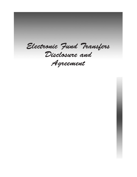*Electronic Fund Transfers Disclosure and Agreement*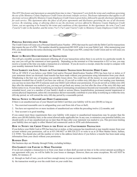*This EFT Disclosure and Agreement as amended from time to time ("Agreement") sets forth the terms and conditions governing the use of the Monterey County Employees Credit Union electronic transfer services. Disclosure information that applies to all electronic services offered by Monterey County Employees Credit Union is given below, followed by specific disclosure information for each service. This Agreement takes the place of all prior agreements and disclosures governing the use of all electronic services. By retaining, using, or allowing others to use the electronic services offered by Monterey County Employees Credit Union, you are agreeing to be bound by the terms and conditions of this Agreement. In this Agreement, the term ("you") and ("your(s)") refer to the member, and the terms ("we") ("us") and ("our(s)") refer to Monterey County Employees Credit Union.* 



#### **Personal Identification Number**

The Credit Union will issue you a Personal Identification Number (PIN) that must be used with the Debit Card for transactions that require the use of a PIN. This number should be memorized-DO NOT write it on your Debit Card. After memorizing your PIN, you should destroy the notice disclosing your PIN. If you forget your PIN, contact the Credit Union and we will issue you a new one.

#### **Right to Receive Documentation of Transactions**

You will get a monthly account statement reflecting all of your transactions unless there is no activity in a particular month. In any case you will get the statement at least quarterly. Depending on the terminal or if the transaction is \$15 or less, you may receive a receipt at the time you make a transaction at a terminal. If you do receive a receipt, retain the receipt to compare with your monthly statement from the Credit Union.

### **Your Liability for Lost, Stolen or Unauthorized Transactions Involving Debit Cards**

Tell us AT ONCE if you believe your Debit Card and/or Personal Identification Number (PIN) has been lost or stolen or if your statement shows an electronic fund transfer has been made without your permission using information from your check. Telephoning is the best way of keeping your possible losses down. You could lose all the money in your account (plus your maximum overdraft line of credit if you have one with us). If you tell us within sixty (60) days of our sending your statement, you can lose no more than \$50 if someone used your Debit Card without your permission. If you do not tell us within sixty (60) days after the statement was mailed to you, you may not get back any money you lost after the close of the sixty (60) days and before notice to us. If your delay in notifying us was due to extenuating circumstances beyond your reasonable control, including extended travel, your or a member of your family's death or serious illness, hospitalization, permanent mental impairment or serious physical impairment, unless the circumstance did not reasonably contribute to your delay in notifying us within the sixty (60) day period, we will extend the sixty (60) day period by a reasonable period.

### **Special Notice to MasterCard Debit Cardholders**

If there is an unauthorized use of your MasterCard Debit Card then your liability will be zero (\$0.00) so long as:

- 1. You exercised reasonable care in safeguarding your card from risk of loss or theft;
- 2. You have not reported two or more incidents of unauthorized use within the preceding twelve (12) months; and
- 3. Your account is in good standing.

If you cannot meet these requirements then your liability with respect to unauthorized transactions may be greater than the above zero (\$0.00) liability limit, to the extent allowed under applicable law. In any case, to minimize your potential liability you should notify us of any unauthorized use no later than 60 days after your statement was mailed to you. This provision limiting your liability does not apply to either MasterCard commercial cards or ATM cash disbursements.

#### **How to Notify the Credit Union in the Event of an Unauthorized Transaction**

If you believe your Debit Card or PIN has been lost or stolen, or that someone has transferred or may transfer money from your account without your permission, call us at 831.540.4627 or 800.528.2273 or write to us at 20 West Market Street, Salinas, CA 93901. You should also call the number or write to the address listed above if you believe a transfer has been made using information from your check without your permission.

#### **Business Days**

Our business days are Monday through Friday, excluding holidays.

#### **Our Liability for Failure to Make Transfers**

If we do not complete a transaction to or from your share or share draft account on time or in the correct amount according to our agreement with you, we will be liable for your losses or damages. However, there are some exceptions. We will NOT be liable, for instance, if:

- a) through no fault of ours, you do not have enough money in your account to make the transaction;
- b) the transaction would go over the credit limit on your credit line;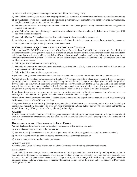- c) the terminal where you were making the transaction did not have enough cash;
- d) the ATM or network system was not working properly and you were aware of the malfunction when you started the transaction;
- e) circumstances beyond our control (such as fire, flood, power failure, or computer down time) prevented the transaction, despite reasonable precautions that we have taken;
- f) the money in your account is subject to an uncollected funds hold, legal process or any other encumbrance or agreement restricting a transaction;
- g) your Debit Card has expired, is damaged so that the terminal cannot read the encoding strip, is inactive or because your PIN has been entered incorrectly;
- h) your Debit Card or PIN has been reported lost or stolen and we have blocked the account; or
- i) the failure to complete the transaction is done to protect the integrity of the system or to protect the security of your account.
- There may be other exceptions not specifically mentioned above.

#### **In Case of Errors or Questions About your Electronic Transfers**

Telephone us at 831.540.4627 or write to us at 20 West Market Street, Salinas, CA 93901 as soon as you can, if you think your statement or receipt is wrong or if you need more information about a transfer listed on the statement or receipt. You should also call the number or write to the address listed above if you believe a transfer has been made using information from your check without your permission. We must hear from you no later than sixty (60) days after we sent the FIRST statement on which the problem or error appeared.

- 1. Tell us your name and account number (if any).
- 2. Describe the error or the transfer you are unsure about, and explain as clearly as you can why you believe it is an error or why you need more information.
- 3. Tell us the dollar amount of the suspected error.

If you tell us orally, we may require that you send us your complaint or question in writing within ten (10) business days.

We will tell you the results of our investigation within ten  $(10)^*$  business days after we hear from you and will correct any error promptly. If we need more time, however, we may take up to forty-five (45)\*\* days to investigate your complaint or question. If we decide to do this, we will credit your account within ten (10)\* business days for the amount you think is in error, so that you will have the use of the money during the time it takes us to complete our investigation. If we ask you to put your complaint or question in writing and we do not receive it within ten (10) business days, we may not credit your account.

If we decide that there was no error, we will send you a written explanation within three business days after we finish our investigation. You may ask for copies of the documents that we used in our investigation.

\*If you give notice of an error within thirty (30) days after you make the first deposit to your account, we will have twenty (20) business days instead of ten (10) business days.

\*\*If you notice an error within thirty (30) days after you make the first deposit to your account, notice of an error involving a point of sale transaction, or notice of an error involving a transaction initiated outside the U.S. its possessions and territories, we will have ninety (90) days instead of forty-five (45) to investigate.

#### **Charges**

In order to obtain the electronic services listed, you must open and maintain a share draft account. All charges associated with our electronic fund transactions are disclosed in our Rate and Fee Schedule which accompanies this Disclosure and Agreement.

#### **Disclosure of Account Information to Third Parties**

We will disclose information to third parties about your account or the transfers you make:

- a) when it is necessary to complete the transaction;
- b) in order to verify the existence and condition of your account for a third party, such as a credit bureau or merchant;
- c) in order to comply with government agency or court orders or other legal process; or
- d) if you give us your prior oral or written permission.

#### **Address Change**

Keep the Credit Union informed of your current address to ensure correct mailing of monthly statements.

#### **Amendments**

The Credit Union may change the terms and conditions of this Agreement from time to time by mailing written notice to your address as it appears on our records. If any change results in greater cost or liability to you or decreases access to your Accounts, you will be given at least twenty-one (21) days prior notice of the change. Prior notice may not be given where an immediate change in terms or conditions is necessary to maintain the integrity of the system and/or the security of Debit Cards or designated accounts.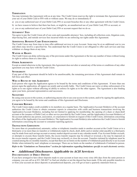### **Termination**

You may terminate this Agreement with us at any time. The Credit Union reserves the right to terminate this Agreement and/or your use of your Debit Card or PIN with or without cause. We may do so immediately if:

- a) you or any authorized user of your Debit Card, PIN or account breaches this or any other agreement with the Credit Union;
- b) we have reason to believe that there has been, or might be, an unauthorized use of your Debit Card, PIN or account; or
- c) you or any authorized user of your Debit Card, PIN or account request that we do so.

#### **Attorneys' Fees**

You agree to pay the Credit Union all of our costs and reasonable attorneys' fees, including all collection costs, litigation costs, skip-tracing fees, and outside services fees incurred while we are enforcing our rights under this Agreement.

#### **Additional Benefits/Card Enhancements**

The Credit Union may from time to time offer additional services to your Account. Some may be at no additional cost to you and others may involve a specified fee. You understand that the Credit Union is not obligated to offer such services and may withdraw or change them at any time.

#### **Waiver of Rights**

The Credit Union can delay enforcing any of the provisions under this Agreement or the law any number of times without losing its right to enforce them at a later date.

#### **Other Agreements**

Except as stated otherwise in the Agreement, this Agreement does not alter or amend any of the terms or conditions of any other agreement you may have with the Credit Union.

#### **Severability**

If any part of this Agreement should be held to be unenforceable, the remaining provisions of this Agreement shall remain in full force and effect.

#### **Who is Bound by this Agreement**

Each person who signs the Application agrees to be bound by the terms and conditions of this Agreement. If more than one person signs the application, all signers are jointly and severally liable. The Credit Union can waive or delay enforcement of its rights as to one signer without affecting its ability to enforce its rights as to the other signers. The Agreement is also binding upon your heirs, personal representatives and successors.

#### **SIGNATURES**

By using your access to the system, or authorizing anyone else to use your access to the system, and/or by signing the application, you agree to be bound by the terms and conditions of this Agreement and Disclosure.

#### **Consumer Reports**

The Credit Union makes credit available to its members on a regular basis. The Applicant(s)/Account Holder(s) of the account authorizes the Credit Union to obtain consumer reports in connection with credit and business transactions involving the Applicant(s)/Account Holder(s), including but not limited to applying for membership, the opening of a share or share/draft account or the issuance of Debit Card, or other service provided by the Credit Union, and the Applicant(s)/Account Holder(s) of the account authorize any person, association, or corporation to furnish on request of this Credit Union, information concerning the affairs of the Applicant(s)/Account Holder(s). The Applicant(s)/Account Holder(s) also authorizes the Credit Union to furnish information concerning the account to consumer reporting agencies.

#### **Transactions Limitations**

No more than six preauthorized, automatic, online or telephonic transfers made to another account at the Credit Union or to a third party or no more than six transfers or withdrawals made by check, draft, debit card or similar order payable to a third party may be made from each savings account or money market deposit account in any calendar month. If an Account Holder exceeds, or attempts to exceed, these transfer limits, the excess transfer requests may be refused or reversed, a fee may be imposed on the excess transfer requests, and the Credit Union may reclassify or close the account. Transfers initiated by telephone must be counted among the six monthly transfers, except that there are no limits on the number of withdrawals paid directly to an Account Holder when initiated by mail, telephone or messenger. There are no limits on the number of withdrawals if initiated in person.

*Refer to the "Limitations on Transactions" section for information regarding limitations specific to each electronic service.* 

# *Additional Disclosures Applicable to ACH Services*

### **Documentation of Direct Deposit**

If you have arranged to have direct deposits made to your account at least once every sixty (60) days from the same person or company, you can call us at 831.540.4627 to find out whether or not the deposit has been made. If the only possible transfers to or from your account are direct deposits or preauthorized deposits, you will get at least a quarterly statement from us.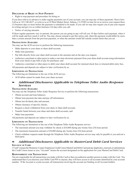## **Disclosure of Right to Stop Payment**

• Right to stop payment and procedure for doing so.

If you have told us in advance to make regular payments out of your account, you can stop any of these payments. Here's how: Call us at 831.540.4627, or write to us at 20 West Market Street, Salinas, CA 93901,in time for us to receive your request three (3) business days or more before the payment is scheduled to be made. If you call we may also require you to put your request in writing and get it to us within fourteen (14) days after you call.

Notice of varying amounts.

If these regular payments vary in amount, the person you are going to pay will tell you 10 days before each payment, when it will be made and how much it will be. You may choose instead to get this notice only when the payment would differ by more than a certain amount from the previous payment, or when the amount would fall outside certain limits that you set.

#### **Transactions Available**

You may use the ACH services to perform the following transactions:

- Make deposits to your share or share draft account;
- Make loan payments;
- Pay bills directly from your share draft account in the amounts and on the days you request;
- Authorize a merchant or other payee to make a one-time electronic payment from your share draft account using information from your check to pay bills or pay for purchases; and
- Authorize a merchant or other payee to debit your share draft account for returned check fees or returned debit entry fees.

All payments and deposits are subject to later verification by us.

#### **Limitations on Transactions**

The following are limitations to the use of the ACH service:

• ACH debits cannot be made from your share account.

## *Additional Disclosures Applicable to Telephone Teller Audio Response Services*

#### **TRANSACTIONS AVAILABLE**

You may use the Telephone Teller Audio Response Service to perform the following transactions:

- Obtain account and loan balances;
- • Obtain loan payment due date and pay off information;
- Obtain last dividend, date and amount;
- Obtain clearance of specific checks;
- Request a check withdrawal from your share or share draft account;
- Transfer funds between your share and share draft accounts; and
- Make loan payments.

All payments and deposits are subject to later verification by us.

#### **Limitations on Transactions**

The following are limitations to the use of the Telephone Teller Audio Response service:

- The maximum amount you may withdraw by check is  $$10,000$  during any twenty-four (24) hour period.
- The maximum transaction amount is  $$10,000$  during any twenty-four (24) hour period.
- Check withdraw requests made through the Telephone Teller Audio Response service may only be payable to you and not a third party.

# *Additional Disclosures Applicable to MasterCard Debit Card Services*

### **Issuance of Card**

("Card") means the Monterey County Employees Credit Union MasterCard Debit Card and any duplicates, renewals or substitutions the Credit Union issues to you; "Account" means the account designated on the application for your MasterCard Debit Card.

#### **Responsibility for Transactions**

You are responsible for all transactions you make with the Card or that you authorize another person to make with the Card. You understand that if you disclose your Debit Card PIN to anyone, they will have access to all accounts identified by your account number. If the Account is a joint account, all transactions involving the account are binding on all Account holders.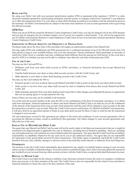#### **Rules for Use**

By using your Debit Card with your personal identification number (PIN) at automated teller machines ("ATM's") or other electronic terminals operated by a participating institution, network system, or company (collectively "terminals"), you authorize us to effect the transactions from or to your share or share draft/checking account(s) in accordance with the instructions given at the terminals. All Debit Card transactions are subject to the terms and conditions of your account agreements with us governing the affected accounts.

#### **ATM Fees**

When you use an ATM not owned by Monterey County Employees Credit Union, you may be charged a fee by the ATM operator and you may be charged a fee for a balance inquiry even if you do not complete a fund transfer. A fee will not be imposed for use of a Debit Card issued by Monterey County Employees Credit Union for use of an electronic terminal operated by Monterey County Employees Credit Union.

#### **Limitations on Dollar Amounts and Frequency of Transactions**

Purchases made above the floor limit of the merchant will require an authorization number from MasterCard.

You may make ATM cash withdrawals and POS transactions for a combined maximum of up to \$2,500 each twenty-four (24) hour period as long as your available balance will cover the transaction. Various institutions which participate in networks of which the Credit Union is a member may have withdrawal limits different from the amount set forth herein. In the event that a specific ATM is so limited, you may not be able to withdraw more than the cash limit of that particular ATM.

### **Use of the Card**

You may use the Card and PIN to:

- • Withdraw cash from your share draft account at ATMs, merchants, or financial institutions that accept MasterCard Debit Cards;
- Transfer funds between your share or share draft account you have with the Credit Union; and
- Make deposits to your share or share draft/checking account at the Credit Union.

You may use the Card without the PIN to:

- Purchase goods or services at places that accept MasterCard Debit Cards at point of sale from your share draft account;
- Order goods or services from your share draft account by mail or telephone from places that accept MasterCard Debit Cards; and
- Make automatic payments from your share draft account to pay bills or other charges, providing that the person or organization that you are paying agrees to accept payments this way.

Some of these services may not be available at all terminals.

Use of the card, the account number on the card, the PIN or any combination of the three for payments, purchases, or to obtain cash from merchants, financial institutions or others who honor MasterCard Debit Cards is an order by you for the withdrawal of the amount of the transaction from your account. Each transaction with the card will be charged to your account on the date the transaction is posted to your account. When the Credit Union receives notification of a MasterCard Debit Card transaction, it will put a hold on an equivalent amount of funds in your share draft account for three (3) days or until the day the transaction is charged to your account.

All card transactions covered by this agreement are subject to the terms and conditions of your account agreements with us governing the affected accounts, except as modified by this agreement. Any future changes to your account agreements may affect the use of the card.

#### **Illegal Use of MasterCard Debit Card**

You agree that your MasterCard Debit Card Account will not be used to make or facilitate any transaction(s) that are or might be construed to be illegal pursuant to applicable law, rule or ordinance, including but not limited to gambling. Said use, including any such authorized use, will constitute an event of default under this Agreement. You agree that the Credit Union has no liability, responsibility or culpability whatsoever for any such use by you or any authorized user(s). You agree that you are responsible for repayment of any and all debts incurred for these transactions. You further agree to indemnify and hold the Credit Union harmless from any suits, liability, damages or adverse action of any kind that results directly or indirectly from such illegal use.

#### **OVERDRAFTS**

You promise to pay the Credit Union immediately upon demand for any negative (overdraft) balance arising in your Account, unless you have available overdraft privileges. If you do not have overdraft privileges, the Credit Union may deduct the amount of any overdraft on your Account from any other account you have with the Credit Union, except an Individual Retirement Account.

#### **Refusal to Honor Card**

The Credit Union is not liable for the refusal or inability of any electronic terminal to honor the card or to complete a withdrawal from your account, or for their retention of the card. The Credit Union is also not responsible for the refusal of any merchant or financial institution to honor the card or for their retention of the card.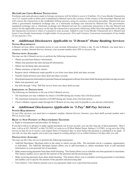#### **MasterCard Cross-Border Transactions**

Purchases and cash advances made in foreign currencies will be billed to you in U.S dollars. If a Cross-Border Transaction on a U.S.-issued credit or debit card is submitted to MasterCard in the currency of the country of the merchant, MasterCard will convert the transaction to the cardholder billing currency using its currency conversion procedure. MasterCard uses either a government mandated exchange rate, or a wholesale exchange rate selected by MasterCard. The governmentmandated exchange rate or wholesale exchange rate MasterCard uses for a particular transaction is the rate MasterCard selects for the applicable currency on the day the transaction is processed, which may differ from that applicable to the date the transaction occurred or when it is posted to your account. Added to your Cross-Border Transaction are a MasterCard Issuer Cross-border Assessment of eight-tenths of one percent (.8%) and Currency Conversion Assessment of two-tenths of one percent (.2%).

# *Additional Disclosures Applicable to "E-Branch" Home Banking Services*

#### **System Requirements**

E-Branch services allow convenient access to your account information 24 hours a day. To use E-Branch, you must have a computer, modem, Internet Service, browser, your account number and a PIN or Access Code.

#### **Transactions Available**

You may use the E-Branch service to perform the following transactions:

- Obtain account/loan balance information;
- Obtain loan payment due date and payoff information;
- Obtain last dividend, date and amount;
- Obtain clearance of specific checks;
- Request check withdrawals made payable to you from your share draft and share account;
- Transfer funds between your share draft and share account;
- Download transaction information to personal financial management software from share draft/checking and share/savings account;
- Make loan payments; and
- Pay bills through "I-Pay" Bill Pay service from your share draft account.

#### **Limitations on Transactions**

The following are limitations to the use of the E-Branch service:

- The maximum you may withdraw by check is \$10,000 during any twenty-four (24)-hour period.
- The maximum transaction amount is  $$10,000$  during any twenty-four (24) hour period.
- Check withdraw requests made through the E-Branch service may only be payable to you and not a third party.

# *Additional Disclosures Applicable to "I-Pay" Bill Pay Services*

#### **System Requirements**

To use I-Pay services, you must have a computer, modem, Internet Service, browser, your share draft account number and a PIN or Access Code.

#### **Right to Stop Payment of Preauthorized Transfers**

a) Right to stop payment and procedure for doing so.

If you have told us in advance to make regular payments out of your account, you can also stop any of these payments. Here's how: Call us at 831.540.4627 or 866.716.5022; or write to us 20 West Market Street, Salinas, CA 93901; or log on to the I-Pay service in time for us to receive your request three (3) business days or more before the payment is scheduled to be made. If you call, we may also require you to put your request in writing and get it to us within fourteen (14) days after you call.

#### **Transactions Available**

You may use the I-Pay service to perform the following transactions:

- Add/Edit Merchants: Merchant refers to the entity to which you pay bills. The merchant can be a company, organization, or individual. The Add/Edit Merchant feature allows you to add merchants to, delete merchants from or edit merchant information on your personal list of merchants.
- Make nonrecurring payments from share draft/checking: This feature allows you to schedule one-time payments to merchants. This feature enables you to specify the amount of the payment and the processing date.
- Make recurring payments from share draft/checking: This feature allows you to schedule recurring payments to merchants and enables you to specify the amount of the payment and processing date.
- View History: View History permits you to see payments made over a specified time period.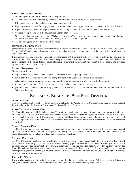### **Limitations on Transactions**

The following are limitations to the use of the I-Pay service:

- The maximum you may withdraw by check is  $$10,000$  during any twenty-four (24)-hour period;
- • Bill payments can only be made from your share draft account;
- Payments cannot be made for tax payments, court-ordered payments or payments to payees outside of the United States;
- If you close the designated bill payment share draft/checking account, all scheduled payments will be stopped;
- You cannot stop a payment if the payment has already been processed;
- You can schedule payments twenty-four (24) hours a day, seven (7) days a week, however, payments scheduled on a Saturday, Sunday, or holiday will be processed within one (1) to two (2) business days; and
- The bill being paid must be in the member's name.

#### **Methods and Restrictions**

Payments are made to your payee either electronically via the Automated Clearing House (ACH) or by check or laser draft. The method of payment depends upon the processing method that can be accommodated by the payee or by our bill payment service provider.

It is important that you take into consideration what method of bill payment will be used when scheduling bill payments to ensure payment deadlines are met. If the payee accepts electronic bill payment, the payment may take up to four (4) business days to process. If the payee does not accept electronic bill payment, the payment will be sent in a check form, and may take up to ten (10) business days to process.

#### **Member Responsibilities**

You are responsible for:

- any late payment, late fees, interest payments, and service fees charged by merchant(s);
- any overdraft, NSF or stop payment fees charged by the Credit Union as a result of these transactions;
- data input of payee information (payment amount(s), name, address and any other pertinent information);
- written notification to the Credit Union in the event you wish to cancel this service; and
- you must allow sufficient time for bill payments to be processed so that the funds can be delivered to the merchant on or before the due date.

# **Regulations Relating to Wire Fund Transfers**

### **Applicable Law**

This agreement and notice applies to funds transfers as defined in the Article 4A of the Uniform Commercial Code and Subpart B of Regulation J of the Board of Governors of the Federal Reserve System.

### **Funds Transfer Cut-Off Time**

The Credit Union may establish or change cut-off times for the receipt and processing of funds transfer requests, amendments, or cancellations. Unless other times are posted for the various types of funds transfers, the cut-off time will be at 12:00 p.m. on each weekday that the Credit Union is open excluding holidays. Payment orders, cancellations, or amendments received after the applicable cut-off time may be treated as having been received on the next funds transfer business day and processed accordingly.

#### **Service Charges/Fees**

The Credit Union may charge your account for the amount of any funds transfer initiated by you or by any person authorized by you as a joint tenant or other authorized party with the right of access to the account from which the funds transfer is to be made. Please refer to our Schedule of Fees and Charges for current fees.

#### **SECURITY PROCEDURES**

The Credit Union may establish, from time to time, security procedures to verify the authenticity of a payment order. You will be notified of the security procedure, if any, to be used to verify payment orders issued by you or for which your account will be liable. You agree that the authenticity of payment orders may be verified using that security procedure unless you notify the Credit Union in writing that you do not agree to that security procedure. In that event, the Credit Union shall have no obligation to accept any payment order from you or other authorized parties on the account until you and the Credit Union agree, in writing, on an alternate security procedure.

### **Use of FedWires**

If you send or receive a wire transfer, Fedwire may be used. Regulation J is the law covering all Fedwire transactions. This means that your rights and liabilities in a wire transfer involving Fedwire will be governed by Regulation J.